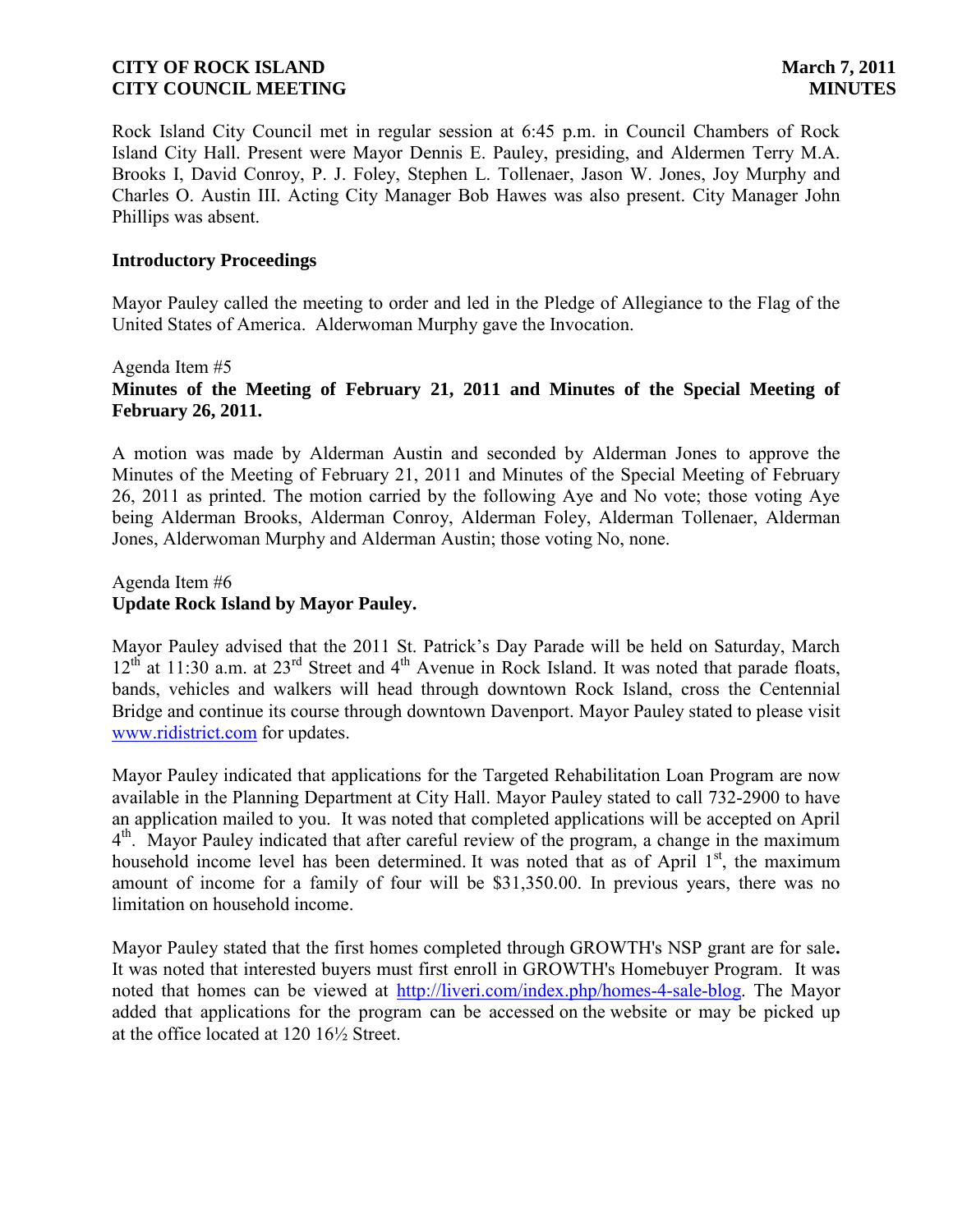Rock Island City Council met in regular session at 6:45 p.m. in Council Chambers of Rock Island City Hall. Present were Mayor Dennis E. Pauley, presiding, and Aldermen Terry M.A. Brooks I, David Conroy, P. J. Foley, Stephen L. Tollenaer, Jason W. Jones, Joy Murphy and Charles O. Austin III. Acting City Manager Bob Hawes was also present. City Manager John Phillips was absent.

### **Introductory Proceedings**

Mayor Pauley called the meeting to order and led in the Pledge of Allegiance to the Flag of the United States of America. Alderwoman Murphy gave the Invocation.

Agenda Item #5

# **Minutes of the Meeting of February 21, 2011 and Minutes of the Special Meeting of February 26, 2011.**

A motion was made by Alderman Austin and seconded by Alderman Jones to approve the Minutes of the Meeting of February 21, 2011 and Minutes of the Special Meeting of February 26, 2011 as printed. The motion carried by the following Aye and No vote; those voting Aye being Alderman Brooks, Alderman Conroy, Alderman Foley, Alderman Tollenaer, Alderman Jones, Alderwoman Murphy and Alderman Austin; those voting No, none.

### Agenda Item #6 **Update Rock Island by Mayor Pauley.**

Mayor Pauley advised that the 2011 St. Patrick's Day Parade will be held on Saturday, March  $12<sup>th</sup>$  at 11:30 a.m. at  $23<sup>rd</sup>$  Street and  $4<sup>th</sup>$  Avenue in Rock Island. It was noted that parade floats, bands, vehicles and walkers will head through downtown Rock Island, cross the Centennial Bridge and continue its course through downtown Davenport. Mayor Pauley stated to please visit [www.ridistrict.com](http://www.ridistrict.com/) for updates.

Mayor Pauley indicated that applications for the Targeted Rehabilitation Loan Program are now available in the Planning Department at City Hall. Mayor Pauley stated to call 732-2900 to have an application mailed to you. It was noted that completed applications will be accepted on April 4<sup>th</sup>. Mayor Pauley indicated that after careful review of the program, a change in the maximum household income level has been determined. It was noted that as of April  $1<sup>st</sup>$ , the maximum amount of income for a family of four will be \$31,350.00. In previous years, there was no limitation on household income.

Mayor Pauley stated that the first homes completed through GROWTH's NSP grant are for sale**.** It was noted that interested buyers must first enroll in GROWTH's Homebuyer Program. It was noted that homes can be viewed at [http://liveri.com/index.php/homes-4-sale-blog.](http://liveri.com/index.php/homes-4-sale-blog) The Mayor added that applications for the program can be accessed on the website or may be picked up at the office located at 120 161⁄2 Street.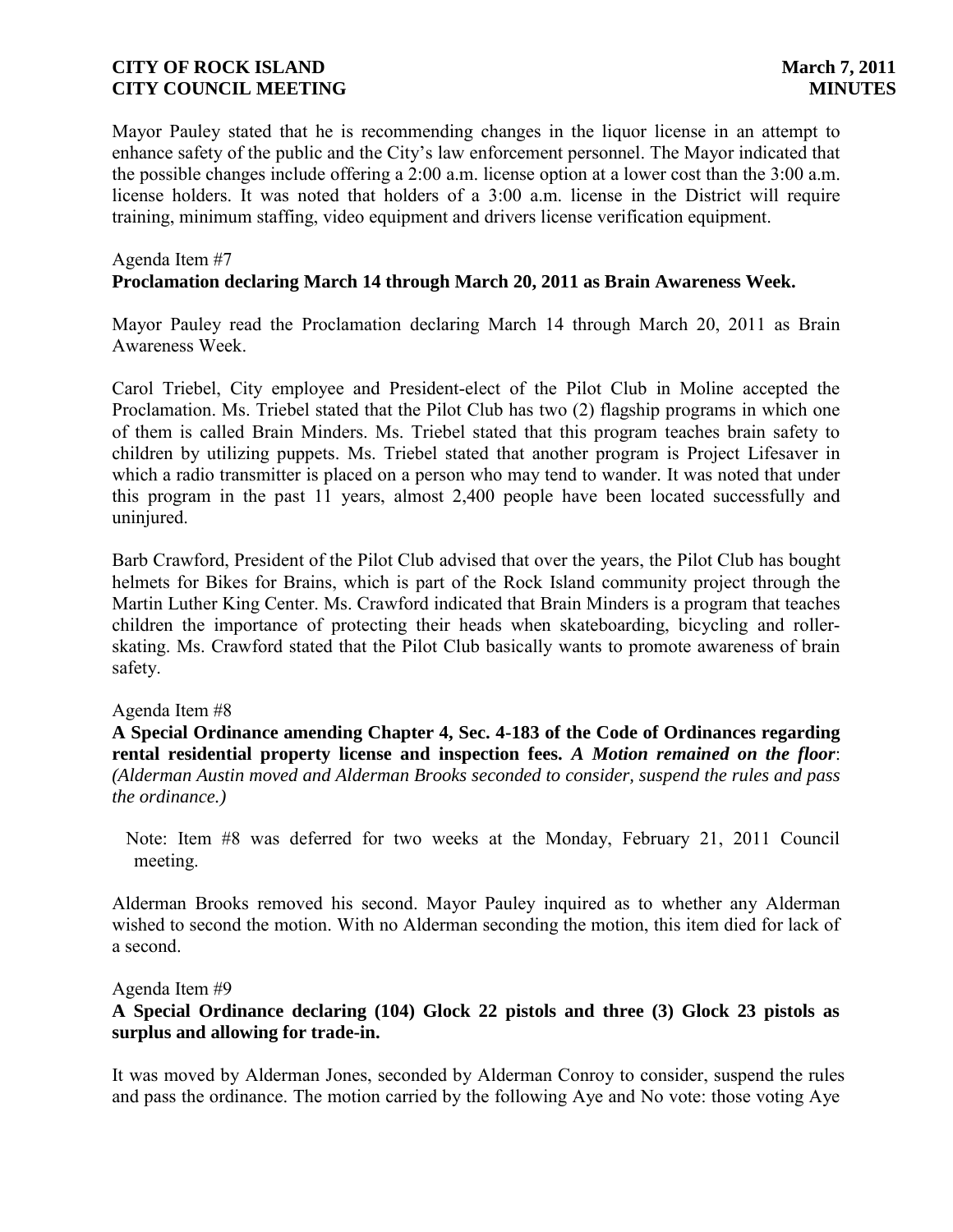Mayor Pauley stated that he is recommending changes in the liquor license in an attempt to enhance safety of the public and the City's law enforcement personnel. The Mayor indicated that the possible changes include offering a 2:00 a.m. license option at a lower cost than the 3:00 a.m. license holders. It was noted that holders of a 3:00 a.m. license in the District will require training, minimum staffing, video equipment and drivers license verification equipment.

#### Agenda Item #7

### **Proclamation declaring March 14 through March 20, 2011 as Brain Awareness Week.**

Mayor Pauley read the Proclamation declaring March 14 through March 20, 2011 as Brain Awareness Week.

Carol Triebel, City employee and President-elect of the Pilot Club in Moline accepted the Proclamation. Ms. Triebel stated that the Pilot Club has two (2) flagship programs in which one of them is called Brain Minders. Ms. Triebel stated that this program teaches brain safety to children by utilizing puppets. Ms. Triebel stated that another program is Project Lifesaver in which a radio transmitter is placed on a person who may tend to wander. It was noted that under this program in the past 11 years, almost 2,400 people have been located successfully and uninjured.

Barb Crawford, President of the Pilot Club advised that over the years, the Pilot Club has bought helmets for Bikes for Brains, which is part of the Rock Island community project through the Martin Luther King Center. Ms. Crawford indicated that Brain Minders is a program that teaches children the importance of protecting their heads when skateboarding, bicycling and rollerskating. Ms. Crawford stated that the Pilot Club basically wants to promote awareness of brain safety.

### Agenda Item #8

**A Special Ordinance amending Chapter 4, Sec. 4-183 of the Code of Ordinances regarding rental residential property license and inspection fees.** *A Motion remained on the floor*: *(Alderman Austin moved and Alderman Brooks seconded to consider, suspend the rules and pass the ordinance.)*

 Note: Item #8 was deferred for two weeks at the Monday, February 21, 2011 Council meeting.

Alderman Brooks removed his second. Mayor Pauley inquired as to whether any Alderman wished to second the motion. With no Alderman seconding the motion, this item died for lack of a second.

### Agenda Item #9

### **A Special Ordinance declaring (104) Glock 22 pistols and three (3) Glock 23 pistols as surplus and allowing for trade-in.**

It was moved by Alderman Jones, seconded by Alderman Conroy to consider, suspend the rules and pass the ordinance. The motion carried by the following Aye and No vote: those voting Aye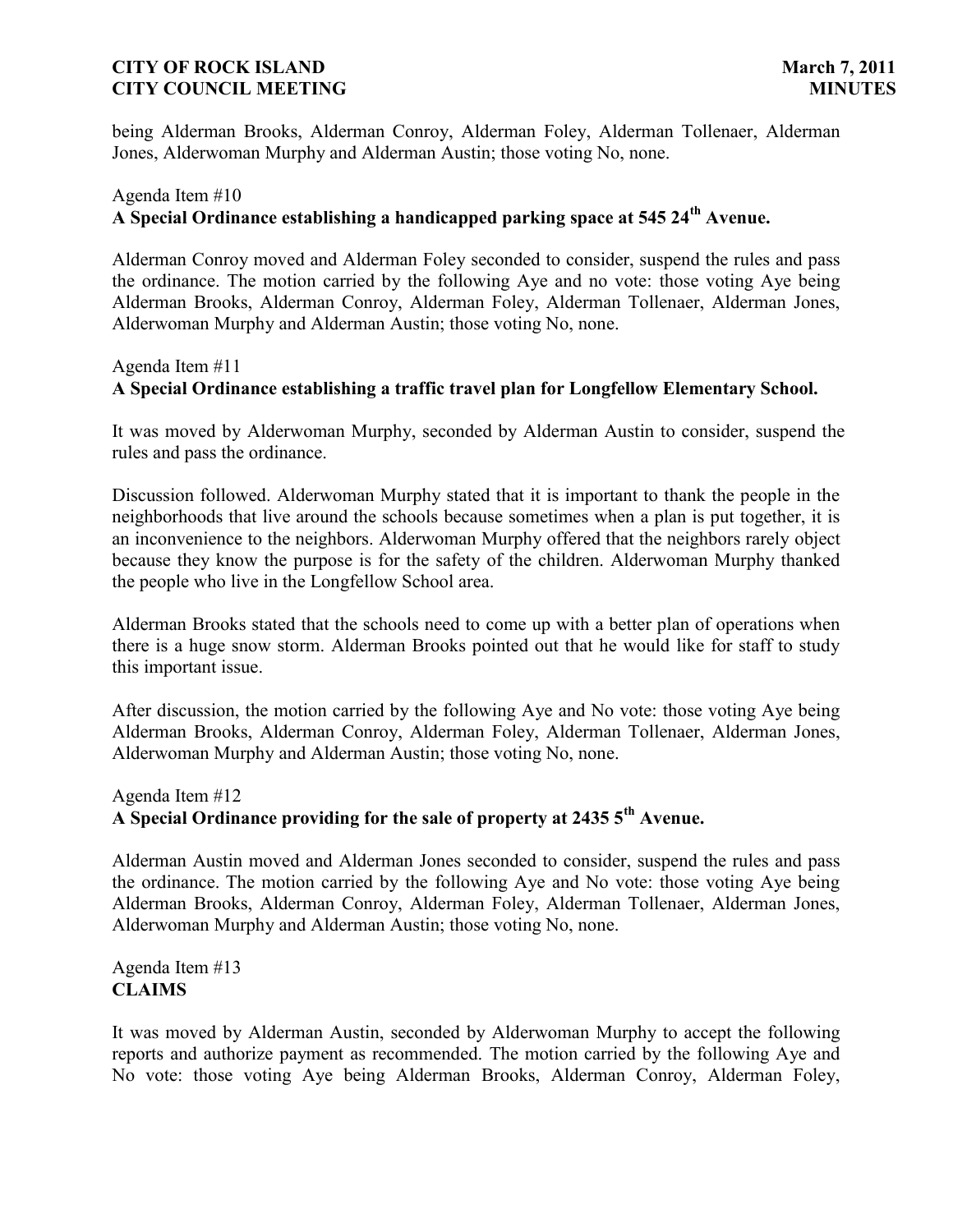being Alderman Brooks, Alderman Conroy, Alderman Foley, Alderman Tollenaer, Alderman Jones, Alderwoman Murphy and Alderman Austin; those voting No, none.

# Agenda Item #10 **A Special Ordinance establishing a handicapped parking space at 545 24th Avenue.**

Alderman Conroy moved and Alderman Foley seconded to consider, suspend the rules and pass the ordinance. The motion carried by the following Aye and no vote: those voting Aye being Alderman Brooks, Alderman Conroy, Alderman Foley, Alderman Tollenaer, Alderman Jones, Alderwoman Murphy and Alderman Austin; those voting No, none.

### Agenda Item #11

# **A Special Ordinance establishing a traffic travel plan for Longfellow Elementary School.**

It was moved by Alderwoman Murphy, seconded by Alderman Austin to consider, suspend the rules and pass the ordinance.

Discussion followed. Alderwoman Murphy stated that it is important to thank the people in the neighborhoods that live around the schools because sometimes when a plan is put together, it is an inconvenience to the neighbors. Alderwoman Murphy offered that the neighbors rarely object because they know the purpose is for the safety of the children. Alderwoman Murphy thanked the people who live in the Longfellow School area.

Alderman Brooks stated that the schools need to come up with a better plan of operations when there is a huge snow storm. Alderman Brooks pointed out that he would like for staff to study this important issue.

After discussion, the motion carried by the following Aye and No vote: those voting Aye being Alderman Brooks, Alderman Conroy, Alderman Foley, Alderman Tollenaer, Alderman Jones, Alderwoman Murphy and Alderman Austin; those voting No, none.

## Agenda Item #12 **A Special Ordinance providing for the sale of property at 2435 5th Avenue.**

Alderman Austin moved and Alderman Jones seconded to consider, suspend the rules and pass the ordinance. The motion carried by the following Aye and No vote: those voting Aye being Alderman Brooks, Alderman Conroy, Alderman Foley, Alderman Tollenaer, Alderman Jones, Alderwoman Murphy and Alderman Austin; those voting No, none.

Agenda Item #13 **CLAIMS**

It was moved by Alderman Austin, seconded by Alderwoman Murphy to accept the following reports and authorize payment as recommended. The motion carried by the following Aye and No vote: those voting Aye being Alderman Brooks, Alderman Conroy, Alderman Foley,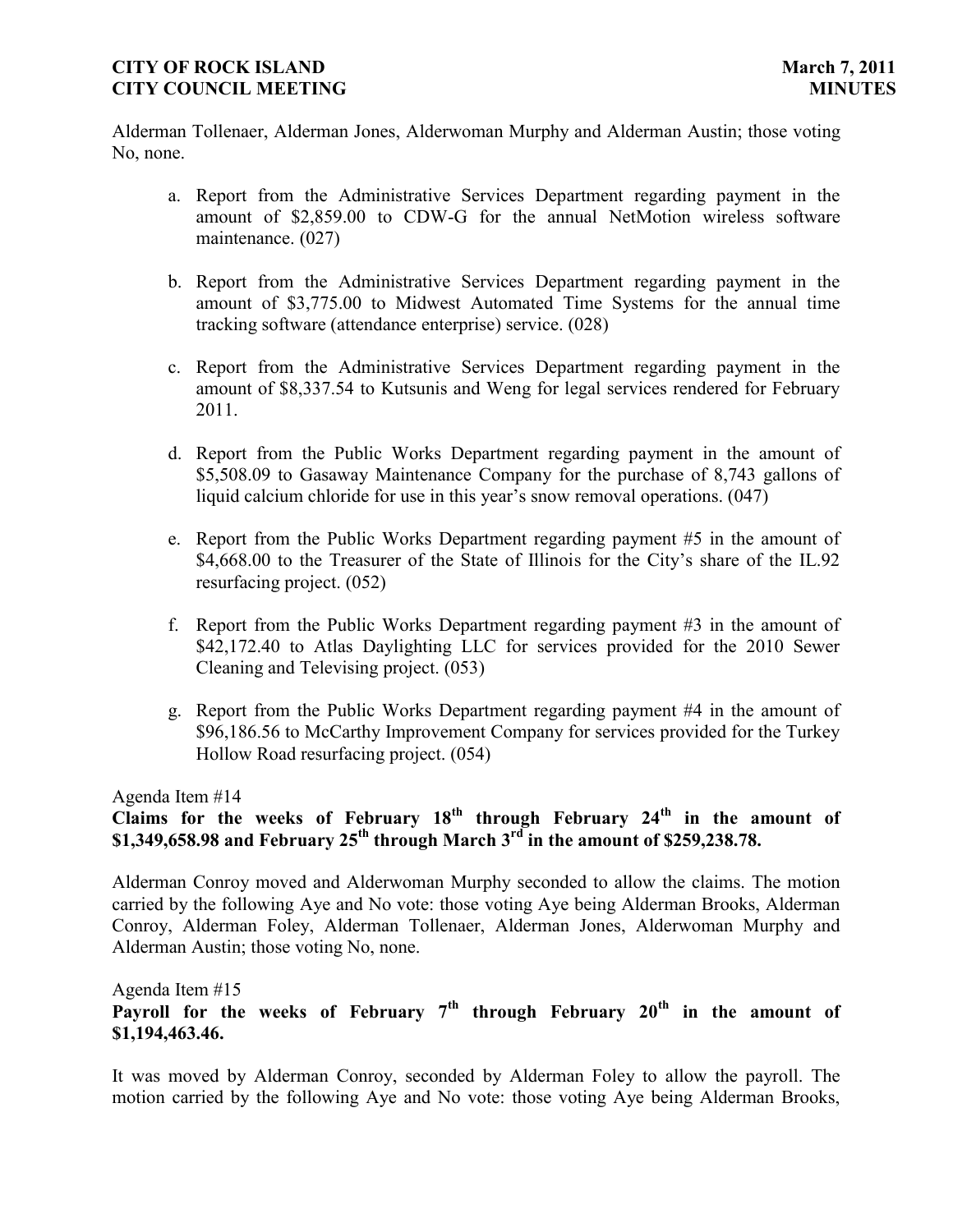Alderman Tollenaer, Alderman Jones, Alderwoman Murphy and Alderman Austin; those voting No, none.

- a. Report from the Administrative Services Department regarding payment in the amount of \$2,859.00 to CDW-G for the annual NetMotion wireless software maintenance. (027)
- b. Report from the Administrative Services Department regarding payment in the amount of \$3,775.00 to Midwest Automated Time Systems for the annual time tracking software (attendance enterprise) service. (028)
- c. Report from the Administrative Services Department regarding payment in the amount of \$8,337.54 to Kutsunis and Weng for legal services rendered for February 2011.
- d. Report from the Public Works Department regarding payment in the amount of \$5,508.09 to Gasaway Maintenance Company for the purchase of 8,743 gallons of liquid calcium chloride for use in this year's snow removal operations. (047)
- e. Report from the Public Works Department regarding payment #5 in the amount of \$4,668.00 to the Treasurer of the State of Illinois for the City's share of the IL.92 resurfacing project. (052)
- f. Report from the Public Works Department regarding payment #3 in the amount of \$42,172.40 to Atlas Daylighting LLC for services provided for the 2010 Sewer Cleaning and Televising project. (053)
- g. Report from the Public Works Department regarding payment #4 in the amount of \$96,186.56 to McCarthy Improvement Company for services provided for the Turkey Hollow Road resurfacing project. (054)

Agenda Item #14

# **Claims for the weeks of February 18th through February 24th in the amount of \$1,349,658.98 and February 25th through March 3rd in the amount of \$259,238.78.**

Alderman Conroy moved and Alderwoman Murphy seconded to allow the claims. The motion carried by the following Aye and No vote: those voting Aye being Alderman Brooks, Alderman Conroy, Alderman Foley, Alderman Tollenaer, Alderman Jones, Alderwoman Murphy and Alderman Austin; those voting No, none.

Agenda Item #15

**Payroll for the weeks of February 7th through February 20th in the amount of \$1,194,463.46.**

It was moved by Alderman Conroy, seconded by Alderman Foley to allow the payroll. The motion carried by the following Aye and No vote: those voting Aye being Alderman Brooks,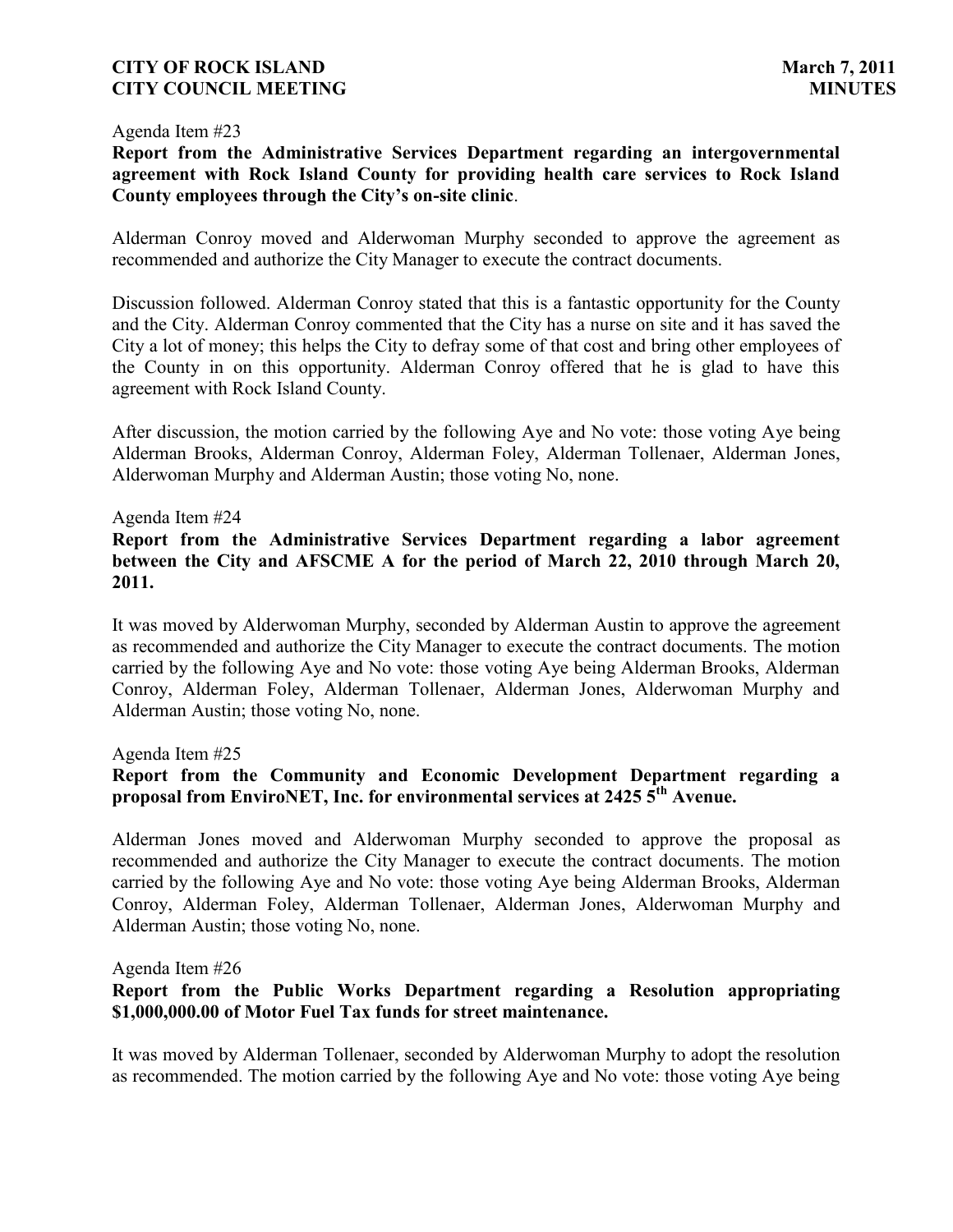#### Agenda Item #23

**Report from the Administrative Services Department regarding an intergovernmental agreement with Rock Island County for providing health care services to Rock Island County employees through the City's on-site clinic**.

Alderman Conroy moved and Alderwoman Murphy seconded to approve the agreement as recommended and authorize the City Manager to execute the contract documents.

Discussion followed. Alderman Conroy stated that this is a fantastic opportunity for the County and the City. Alderman Conroy commented that the City has a nurse on site and it has saved the City a lot of money; this helps the City to defray some of that cost and bring other employees of the County in on this opportunity. Alderman Conroy offered that he is glad to have this agreement with Rock Island County.

After discussion, the motion carried by the following Aye and No vote: those voting Aye being Alderman Brooks, Alderman Conroy, Alderman Foley, Alderman Tollenaer, Alderman Jones, Alderwoman Murphy and Alderman Austin; those voting No, none.

#### Agenda Item #24

**Report from the Administrative Services Department regarding a labor agreement between the City and AFSCME A for the period of March 22, 2010 through March 20, 2011.**

It was moved by Alderwoman Murphy, seconded by Alderman Austin to approve the agreement as recommended and authorize the City Manager to execute the contract documents. The motion carried by the following Aye and No vote: those voting Aye being Alderman Brooks, Alderman Conroy, Alderman Foley, Alderman Tollenaer, Alderman Jones, Alderwoman Murphy and Alderman Austin; those voting No, none.

Agenda Item #25

### **Report from the Community and Economic Development Department regarding a proposal from EnviroNET, Inc. for environmental services at 2425 5th Avenue.**

Alderman Jones moved and Alderwoman Murphy seconded to approve the proposal as recommended and authorize the City Manager to execute the contract documents. The motion carried by the following Aye and No vote: those voting Aye being Alderman Brooks, Alderman Conroy, Alderman Foley, Alderman Tollenaer, Alderman Jones, Alderwoman Murphy and Alderman Austin; those voting No, none.

Agenda Item #26

### **Report from the Public Works Department regarding a Resolution appropriating \$1,000,000.00 of Motor Fuel Tax funds for street maintenance.**

It was moved by Alderman Tollenaer, seconded by Alderwoman Murphy to adopt the resolution as recommended. The motion carried by the following Aye and No vote: those voting Aye being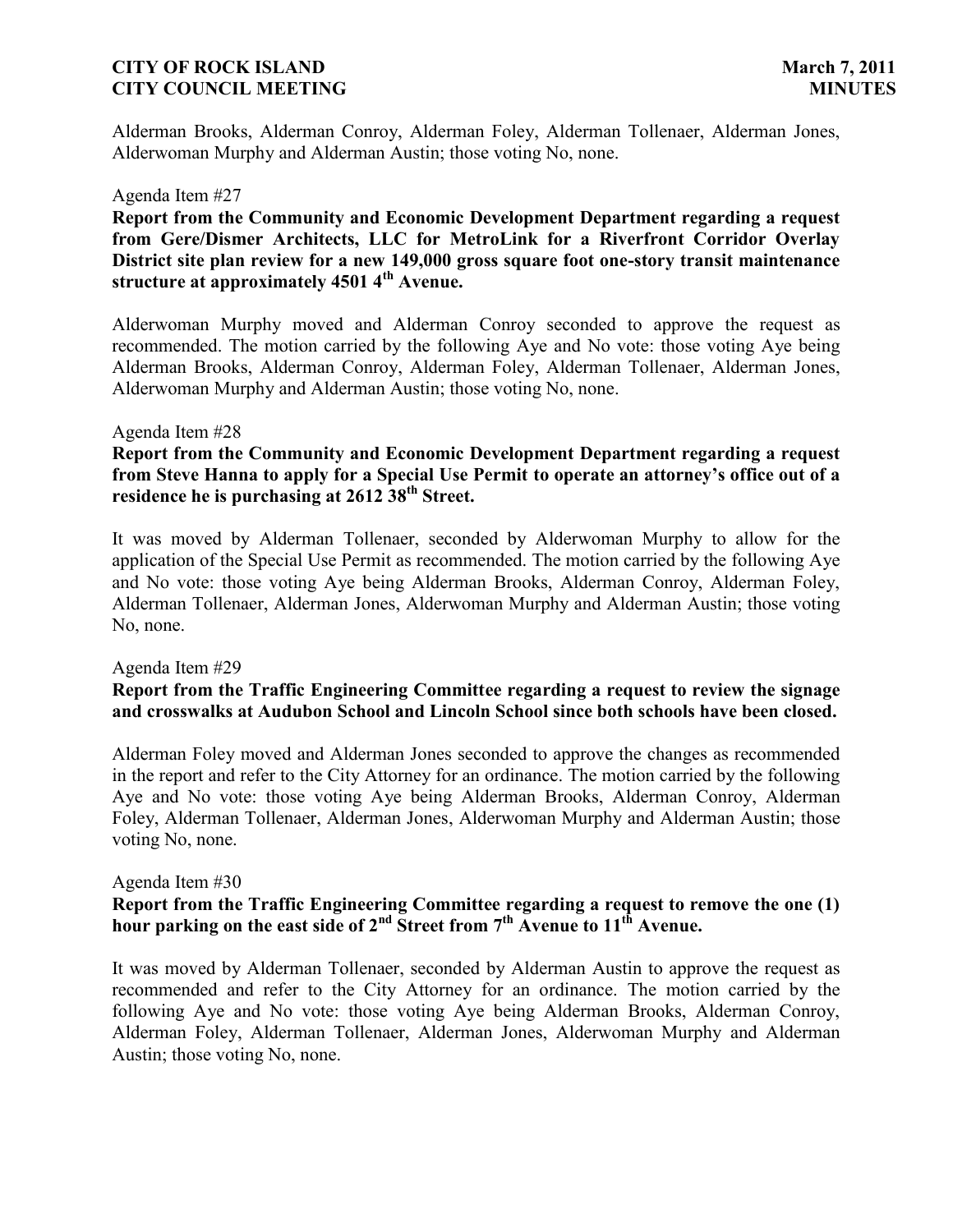Alderman Brooks, Alderman Conroy, Alderman Foley, Alderman Tollenaer, Alderman Jones, Alderwoman Murphy and Alderman Austin; those voting No, none.

#### Agenda Item #27

**Report from the Community and Economic Development Department regarding a request from Gere/Dismer Architects, LLC for MetroLink for a Riverfront Corridor Overlay District site plan review for a new 149,000 gross square foot one-story transit maintenance structure at approximately 4501 4th Avenue.**

Alderwoman Murphy moved and Alderman Conroy seconded to approve the request as recommended. The motion carried by the following Aye and No vote: those voting Aye being Alderman Brooks, Alderman Conroy, Alderman Foley, Alderman Tollenaer, Alderman Jones, Alderwoman Murphy and Alderman Austin; those voting No, none.

#### Agenda Item #28

**Report from the Community and Economic Development Department regarding a request from Steve Hanna to apply for a Special Use Permit to operate an attorney's office out of a residence he is purchasing at 2612 38th Street.**

It was moved by Alderman Tollenaer, seconded by Alderwoman Murphy to allow for the application of the Special Use Permit as recommended. The motion carried by the following Aye and No vote: those voting Aye being Alderman Brooks, Alderman Conroy, Alderman Foley, Alderman Tollenaer, Alderman Jones, Alderwoman Murphy and Alderman Austin; those voting No, none.

#### Agenda Item #29

### **Report from the Traffic Engineering Committee regarding a request to review the signage and crosswalks at Audubon School and Lincoln School since both schools have been closed.**

Alderman Foley moved and Alderman Jones seconded to approve the changes as recommended in the report and refer to the City Attorney for an ordinance. The motion carried by the following Aye and No vote: those voting Aye being Alderman Brooks, Alderman Conroy, Alderman Foley, Alderman Tollenaer, Alderman Jones, Alderwoman Murphy and Alderman Austin; those voting No, none.

#### Agenda Item #30

# **Report from the Traffic Engineering Committee regarding a request to remove the one (1) hour parking on the east side of**  $2^{nd}$  **Street from**  $7^{th}$  **Avenue to**  $11^{th}$  **Avenue.**

It was moved by Alderman Tollenaer, seconded by Alderman Austin to approve the request as recommended and refer to the City Attorney for an ordinance. The motion carried by the following Aye and No vote: those voting Aye being Alderman Brooks, Alderman Conroy, Alderman Foley, Alderman Tollenaer, Alderman Jones, Alderwoman Murphy and Alderman Austin; those voting No, none.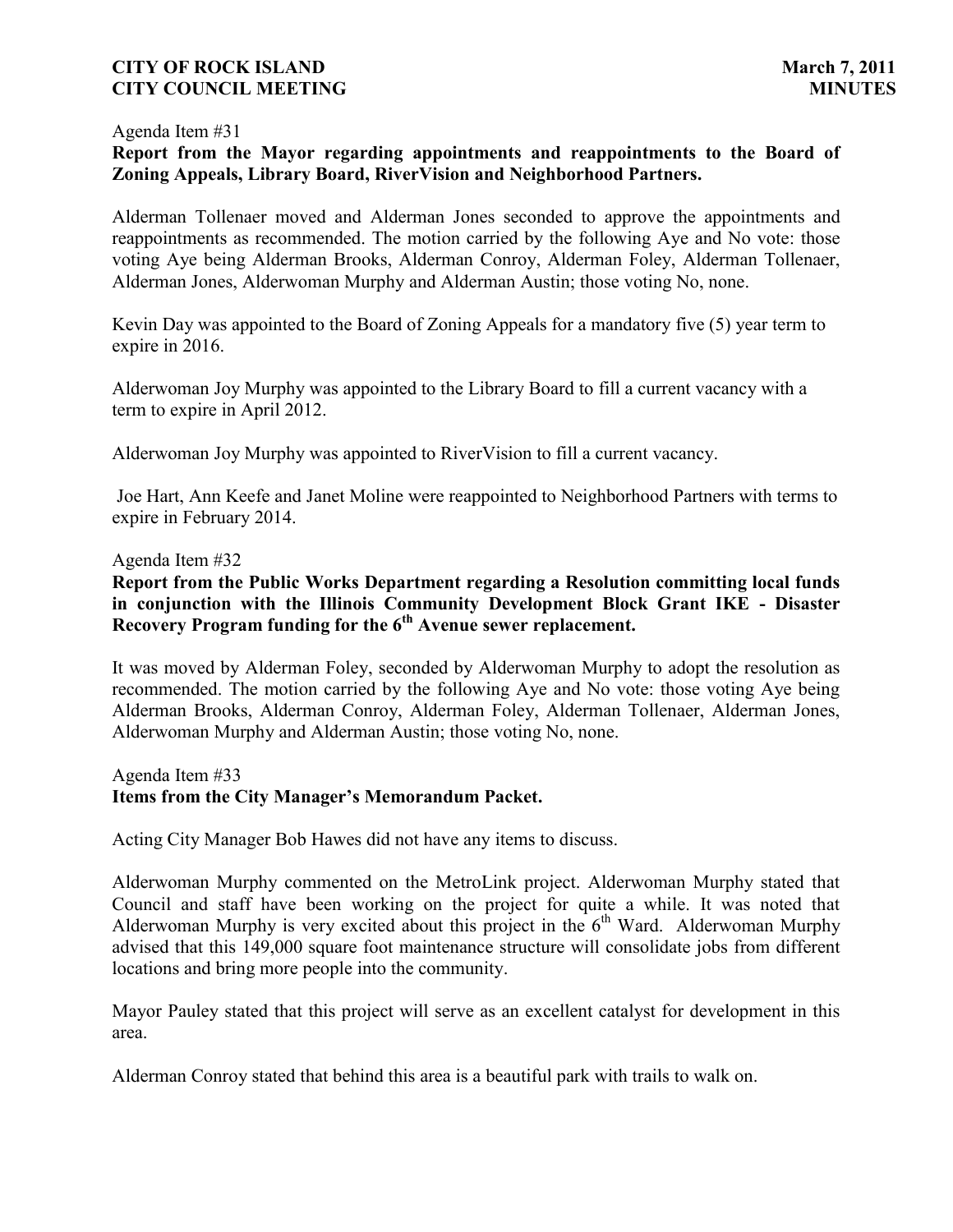#### Agenda Item #31

# **Report from the Mayor regarding appointments and reappointments to the Board of Zoning Appeals, Library Board, RiverVision and Neighborhood Partners.**

Alderman Tollenaer moved and Alderman Jones seconded to approve the appointments and reappointments as recommended. The motion carried by the following Aye and No vote: those voting Aye being Alderman Brooks, Alderman Conroy, Alderman Foley, Alderman Tollenaer, Alderman Jones, Alderwoman Murphy and Alderman Austin; those voting No, none.

Kevin Day was appointed to the Board of Zoning Appeals for a mandatory five (5) year term to expire in 2016.

Alderwoman Joy Murphy was appointed to the Library Board to fill a current vacancy with a term to expire in April 2012.

Alderwoman Joy Murphy was appointed to RiverVision to fill a current vacancy.

Joe Hart, Ann Keefe and Janet Moline were reappointed to Neighborhood Partners with terms to expire in February 2014.

#### Agenda Item #32

**Report from the Public Works Department regarding a Resolution committing local funds in conjunction with the Illinois Community Development Block Grant IKE - Disaster Recovery Program funding for the 6th Avenue sewer replacement.**

It was moved by Alderman Foley, seconded by Alderwoman Murphy to adopt the resolution as recommended. The motion carried by the following Aye and No vote: those voting Aye being Alderman Brooks, Alderman Conroy, Alderman Foley, Alderman Tollenaer, Alderman Jones, Alderwoman Murphy and Alderman Austin; those voting No, none.

### Agenda Item #33 **Items from the City Manager's Memorandum Packet.**

Acting City Manager Bob Hawes did not have any items to discuss.

Alderwoman Murphy commented on the MetroLink project. Alderwoman Murphy stated that Council and staff have been working on the project for quite a while. It was noted that Alderwoman Murphy is very excited about this project in the  $6<sup>th</sup>$  Ward. Alderwoman Murphy advised that this 149,000 square foot maintenance structure will consolidate jobs from different locations and bring more people into the community.

Mayor Pauley stated that this project will serve as an excellent catalyst for development in this area.

Alderman Conroy stated that behind this area is a beautiful park with trails to walk on.